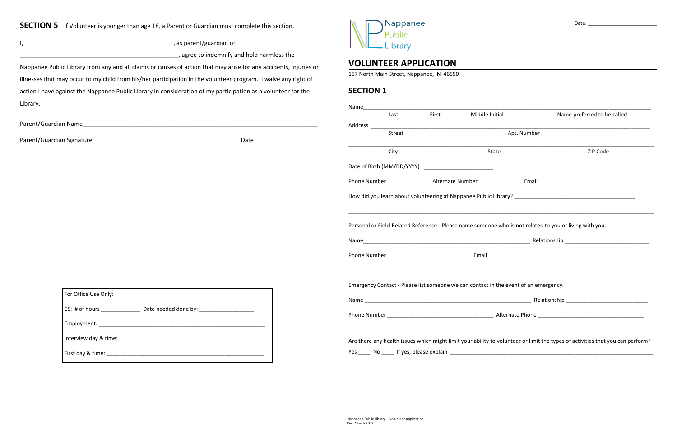**SECTION 5** If Volunteer is younger than age 18, a Parent or Guardian must complete this section.

I, \_\_\_\_\_\_\_\_\_\_\_\_\_\_\_\_\_\_\_\_\_\_\_\_\_\_\_\_\_\_\_\_\_\_\_\_\_\_\_\_\_\_\_\_\_, as parent/guardian of

**\_\_\_\_\_\_\_\_\_\_\_\_\_\_\_\_\_\_\_\_\_\_\_\_\_\_**, agree to indemnify and hold harmless the

Nappanee Public Library from any and all claims or causes of action that may arise for any accidents, injuries or illnesses that may occur to my child from his/her participation in the volunteer program. I waive any right of action I have against the Nappanee Public Library in consideration of my participation as a volunteer for the Library.

Nappanee Public Library

## **VOLUNTEER APPLICATION**

157 North Main Street, Nappanee, IN 46550

## **SECTION 1**

| For Office Use Only:  |  |
|-----------------------|--|
| CS: # of hours        |  |
| Employment:           |  |
| Interview day & time: |  |
| First day & time:     |  |

| Liviai y.                                                                                                                                                                                                                      |                                                                                                                                                                                                                                      | Name |                                                                                      |       |                               |                                                                                                                                |  |
|--------------------------------------------------------------------------------------------------------------------------------------------------------------------------------------------------------------------------------|--------------------------------------------------------------------------------------------------------------------------------------------------------------------------------------------------------------------------------------|------|--------------------------------------------------------------------------------------|-------|-------------------------------|--------------------------------------------------------------------------------------------------------------------------------|--|
|                                                                                                                                                                                                                                |                                                                                                                                                                                                                                      |      | Last                                                                                 | First | Middle Initial and the Middle | Name preferred to be called                                                                                                    |  |
| Parent/Guardian Name and the contract of the contract of the contract of the contract of the contract of the contract of the contract of the contract of the contract of the contract of the contract of the contract of the c |                                                                                                                                                                                                                                      |      | Address ________________                                                             |       |                               |                                                                                                                                |  |
|                                                                                                                                                                                                                                | Date                                                                                                                                                                                                                                 |      | Street                                                                               |       | Apt. Number                   |                                                                                                                                |  |
|                                                                                                                                                                                                                                |                                                                                                                                                                                                                                      |      | City                                                                                 |       | State                         | ZIP Code                                                                                                                       |  |
|                                                                                                                                                                                                                                |                                                                                                                                                                                                                                      |      |                                                                                      |       |                               |                                                                                                                                |  |
|                                                                                                                                                                                                                                |                                                                                                                                                                                                                                      |      |                                                                                      |       |                               |                                                                                                                                |  |
|                                                                                                                                                                                                                                |                                                                                                                                                                                                                                      |      |                                                                                      |       |                               |                                                                                                                                |  |
|                                                                                                                                                                                                                                |                                                                                                                                                                                                                                      |      |                                                                                      |       |                               | Personal or Field-Related Reference - Please name someone who is not related to you or living with you.                        |  |
|                                                                                                                                                                                                                                |                                                                                                                                                                                                                                      |      |                                                                                      |       |                               |                                                                                                                                |  |
|                                                                                                                                                                                                                                |                                                                                                                                                                                                                                      |      | Emergency Contact - Please list someone we can contact in the event of an emergency. |       |                               |                                                                                                                                |  |
| For Office Use Only:                                                                                                                                                                                                           |                                                                                                                                                                                                                                      |      |                                                                                      |       |                               |                                                                                                                                |  |
| CS: # of hours ________________________ Date needed done by: ___________________                                                                                                                                               | Phone Number <b>Material Contract Contract Contract Contract Contract Contract Contract Contract Contract Contract Contract Contract Contract Contract Contract Contract Contract Contract Contract Contract Contract Contract C</b> |      |                                                                                      |       |                               |                                                                                                                                |  |
|                                                                                                                                                                                                                                |                                                                                                                                                                                                                                      |      |                                                                                      |       |                               |                                                                                                                                |  |
|                                                                                                                                                                                                                                |                                                                                                                                                                                                                                      |      |                                                                                      |       |                               | Are there any health issues which might limit your ability to volunteer or limit the types of activities that you can perform? |  |
|                                                                                                                                                                                                                                |                                                                                                                                                                                                                                      |      |                                                                                      |       |                               |                                                                                                                                |  |
|                                                                                                                                                                                                                                |                                                                                                                                                                                                                                      |      |                                                                                      |       |                               |                                                                                                                                |  |
|                                                                                                                                                                                                                                |                                                                                                                                                                                                                                      |      |                                                                                      |       |                               |                                                                                                                                |  |